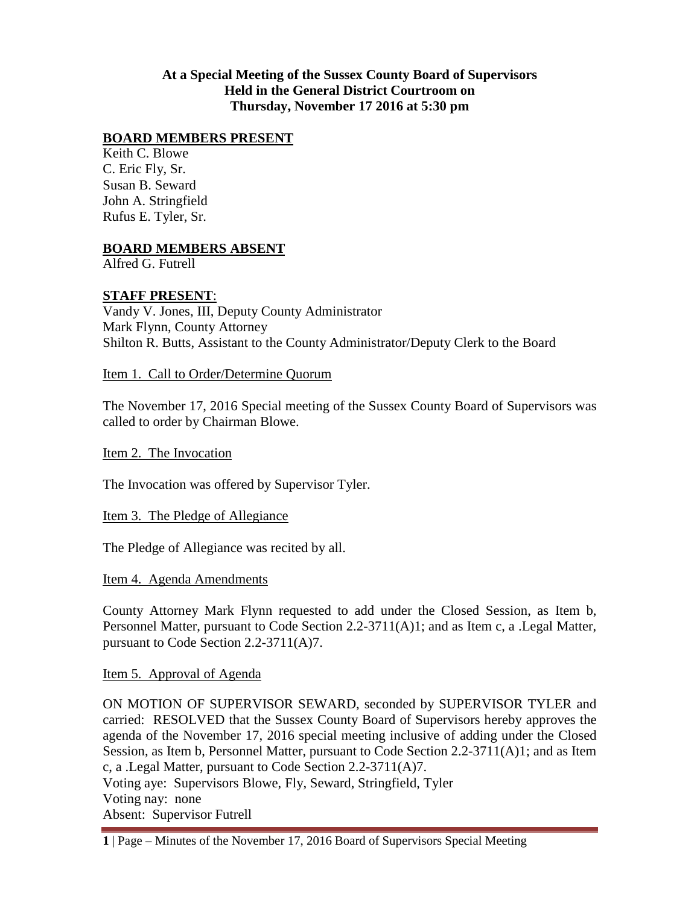### **At a Special Meeting of the Sussex County Board of Supervisors Held in the General District Courtroom on Thursday, November 17 2016 at 5:30 pm**

### **BOARD MEMBERS PRESENT**

Keith C. Blowe C. Eric Fly, Sr. Susan B. Seward John A. Stringfield Rufus E. Tyler, Sr.

# **BOARD MEMBERS ABSENT**

Alfred G. Futrell

#### **STAFF PRESENT**:

Vandy V. Jones, III, Deputy County Administrator Mark Flynn, County Attorney Shilton R. Butts, Assistant to the County Administrator/Deputy Clerk to the Board

#### Item 1. Call to Order/Determine Quorum

The November 17, 2016 Special meeting of the Sussex County Board of Supervisors was called to order by Chairman Blowe.

Item 2. The Invocation

The Invocation was offered by Supervisor Tyler.

Item 3. The Pledge of Allegiance

The Pledge of Allegiance was recited by all.

Item 4. Agenda Amendments

County Attorney Mark Flynn requested to add under the Closed Session, as Item b, Personnel Matter, pursuant to Code Section 2.2-3711(A)1; and as Item c, a .Legal Matter, pursuant to Code Section 2.2-3711(A)7.

Item 5. Approval of Agenda

ON MOTION OF SUPERVISOR SEWARD, seconded by SUPERVISOR TYLER and carried: RESOLVED that the Sussex County Board of Supervisors hereby approves the agenda of the November 17, 2016 special meeting inclusive of adding under the Closed Session, as Item b, Personnel Matter, pursuant to Code Section 2.2-3711(A)1; and as Item c, a .Legal Matter, pursuant to Code Section 2.2-3711(A)7. Voting aye: Supervisors Blowe, Fly, Seward, Stringfield, Tyler

Absent: Supervisor Futrell

Voting nay: none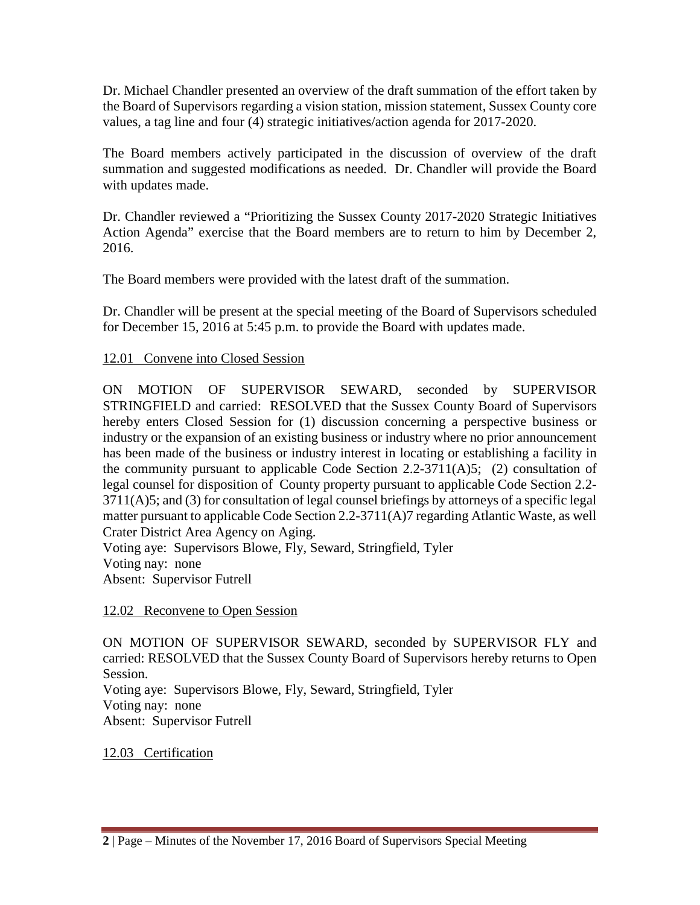Dr. Michael Chandler presented an overview of the draft summation of the effort taken by the Board of Supervisors regarding a vision station, mission statement, Sussex County core values, a tag line and four (4) strategic initiatives/action agenda for 2017-2020.

The Board members actively participated in the discussion of overview of the draft summation and suggested modifications as needed. Dr. Chandler will provide the Board with updates made.

Dr. Chandler reviewed a "Prioritizing the Sussex County 2017-2020 Strategic Initiatives Action Agenda" exercise that the Board members are to return to him by December 2, 2016.

The Board members were provided with the latest draft of the summation.

Dr. Chandler will be present at the special meeting of the Board of Supervisors scheduled for December 15, 2016 at 5:45 p.m. to provide the Board with updates made.

## 12.01 Convene into Closed Session

ON MOTION OF SUPERVISOR SEWARD, seconded by SUPERVISOR STRINGFIELD and carried: RESOLVED that the Sussex County Board of Supervisors hereby enters Closed Session for (1) discussion concerning a perspective business or industry or the expansion of an existing business or industry where no prior announcement has been made of the business or industry interest in locating or establishing a facility in the community pursuant to applicable Code Section 2.2-3711(A)5; (2) consultation of legal counsel for disposition of County property pursuant to applicable Code Section 2.2- 3711(A)5; and (3) for consultation of legal counsel briefings by attorneys of a specific legal matter pursuant to applicable Code Section 2.2-3711(A)7 regarding Atlantic Waste, as well Crater District Area Agency on Aging.

Voting aye: Supervisors Blowe, Fly, Seward, Stringfield, Tyler Voting nay: none Absent: Supervisor Futrell

12.02 Reconvene to Open Session

ON MOTION OF SUPERVISOR SEWARD, seconded by SUPERVISOR FLY and carried: RESOLVED that the Sussex County Board of Supervisors hereby returns to Open Session. Voting aye: Supervisors Blowe, Fly, Seward, Stringfield, Tyler Voting nay: none Absent: Supervisor Futrell

12.03 Certification